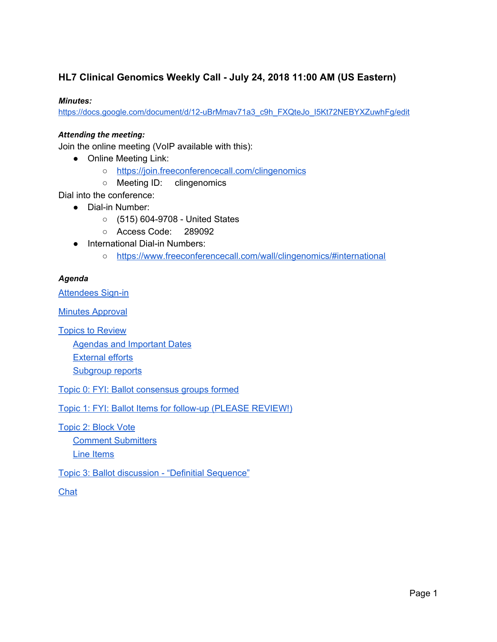### **HL7 Clinical Genomics Weekly Call - July 24, 2018 11:00 AM (US Eastern)**

#### *Minutes:*

[https://docs.google.com/document/d/12-uBrMmav71a3\\_c9h\\_FXQteJo\\_I5Kt72NEBYXZuwhFg/edit](https://docs.google.com/document/d/12-uBrMmav71a3_c9h_FXQteJo_I5Kt72NEBYXZuwhFg/edit)

#### *Attending the meeting:*

Join the online meeting (VoIP available with this):

- Online Meeting Link:
	- <https://join.freeconferencecall.com/clingenomics>
	- Meeting ID: clingenomics

Dial into the conference:

- Dial-in Number:
	- (515) 604-9708 United States
	- Access Code: 289092
- International Dial-in Numbers:
	- <https://www.freeconferencecall.com/wall/clingenomics/#international>

#### *Agenda*

[Attendees](#page-1-0) Sign-in

Minutes [Approval](#page-2-0)

Topics to [Review](#page-2-1)

Agendas and [Important](#page-2-2) Dates

[External](#page-4-0) efforts

[Subgroup](#page-4-1) reports

Topic 0: FYI: Ballot [consensus](#page-5-0) groups formed

Topic 1: FYI: Ballot Items for follow-up (PLEASE [REVIEW!\)](#page-5-1)

[Topic](#page-5-2) 2: Block Vote

Comment [Submitters](#page-5-3) Line [Items](#page-5-4)

Topic 3: Ballot discussion - "Definitial [Sequence"](#page-6-0)

**[Chat](#page-7-0)**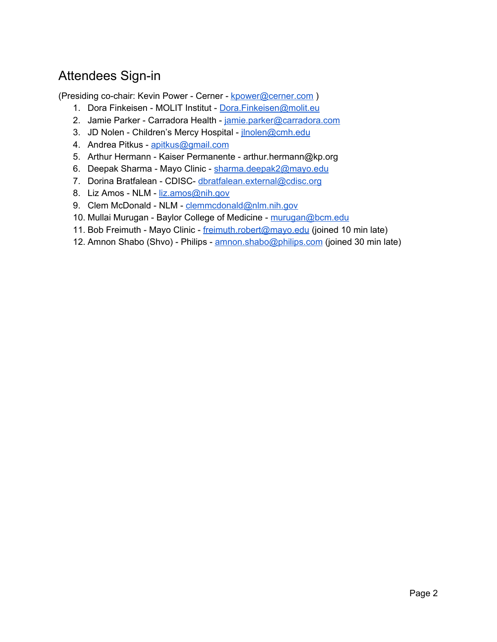# <span id="page-1-0"></span>Attendees Sign-in

(Presiding co-chair: Kevin Power - Cerner - [kpower@cerner.com](mailto:kpower@cerner.com) )

- 1. Dora Finkeisen MOLIT Institut Dora. Finkeisen@molit.eu
- 2. Jamie Parker Carradora Health [jamie.parker@carradora.com](mailto:jamie.parker@carradora.com)
- 3. JD Nolen Children's Mercy Hospital jnolen@cmh.edu
- 4. Andrea Pitkus [apitkus@gmail.com](mailto:apitkus@gmail.com)
- 5. Arthur Hermann Kaiser Permanente arthur.hermann@kp.org
- 6. Deepak Sharma Mayo Clinic [sharma.deepak2@mayo.edu](mailto:sharma.deepak2@mayo.edu)
- 7. Dorina Bratfalean CDISC- [dbratfalean.external@cdisc.org](mailto:dbratfalean.external@cdisc.org)
- 8. Liz Amos NLM [liz.amos@nih.gov](mailto:-liz.amos@nih.gov)
- 9. Clem McDonald NLM [clemmcdonald@nlm.nih.gov](mailto:clemmcdonald@nlm.nih.gov)
- 10. Mullai Murugan Baylor College of Medicine [murugan@bcm.edu](mailto:murugan@bcm.edu)
- 11. Bob Freimuth Mayo Clinic [freimuth.robert@mayo.edu](mailto:freimuth.robert@mayo.edu) (joined 10 min late)
- 12. Amnon Shabo (Shvo) Philips [amnon.shabo@philips.com](mailto:amnon.shabo@philips.com) (joined 30 min late)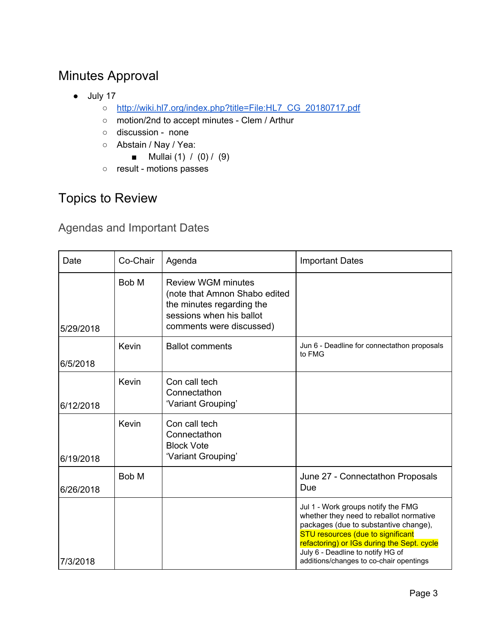# <span id="page-2-0"></span>Minutes Approval

- July 17
	- o [http://wiki.hl7.org/index.php?title=File:HL7\\_CG\\_20180717.pdf](http://wiki.hl7.org/index.php?title=File:HL7_CG_20180717.pdf)
	- motion/2nd to accept minutes Clem / Arthur
	- discussion none
	- Abstain / Nay / Yea:
		- Mullai  $(1) / (0) / (9)$
	- result motions passes

# <span id="page-2-1"></span>Topics to Review

<span id="page-2-2"></span>Agendas and Important Dates

| Date      | Co-Chair | Agenda                                                                                                                                          | <b>Important Dates</b>                                                                                                                                                                                                                                                                           |
|-----------|----------|-------------------------------------------------------------------------------------------------------------------------------------------------|--------------------------------------------------------------------------------------------------------------------------------------------------------------------------------------------------------------------------------------------------------------------------------------------------|
| 5/29/2018 | Bob M    | <b>Review WGM minutes</b><br>(note that Amnon Shabo edited<br>the minutes regarding the<br>sessions when his ballot<br>comments were discussed) |                                                                                                                                                                                                                                                                                                  |
| 6/5/2018  | Kevin    | <b>Ballot comments</b>                                                                                                                          | Jun 6 - Deadline for connectathon proposals<br>to FMG                                                                                                                                                                                                                                            |
| 6/12/2018 | Kevin    | Con call tech<br>Connectathon<br>'Variant Grouping'                                                                                             |                                                                                                                                                                                                                                                                                                  |
| 6/19/2018 | Kevin    | Con call tech<br>Connectathon<br><b>Block Vote</b><br>'Variant Grouping'                                                                        |                                                                                                                                                                                                                                                                                                  |
| 6/26/2018 | Bob M    |                                                                                                                                                 | June 27 - Connectathon Proposals<br>Due                                                                                                                                                                                                                                                          |
| 7/3/2018  |          |                                                                                                                                                 | Jul 1 - Work groups notify the FMG<br>whether they need to reballot normative<br>packages (due to substantive change),<br><b>STU resources (due to significant</b><br>refactoring) or IGs during the Sept. cycle<br>July 6 - Deadline to notify HG of<br>additions/changes to co-chair opentings |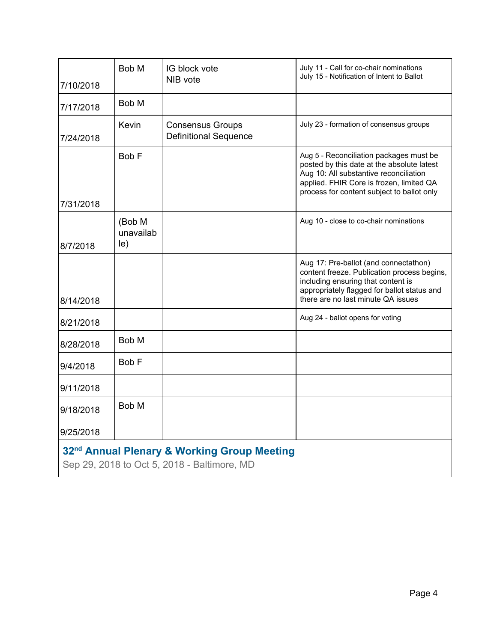| 7/10/2018                                                                                              | Bob M                              | IG block vote<br>NIB vote                               | July 11 - Call for co-chair nominations<br>July 15 - Notification of Intent to Ballot                                                                                                                                     |  |
|--------------------------------------------------------------------------------------------------------|------------------------------------|---------------------------------------------------------|---------------------------------------------------------------------------------------------------------------------------------------------------------------------------------------------------------------------------|--|
| 7/17/2018                                                                                              | Bob M                              |                                                         |                                                                                                                                                                                                                           |  |
| 7/24/2018                                                                                              | Kevin                              | <b>Consensus Groups</b><br><b>Definitional Sequence</b> | July 23 - formation of consensus groups                                                                                                                                                                                   |  |
| 7/31/2018                                                                                              | Bob F                              |                                                         | Aug 5 - Reconciliation packages must be<br>posted by this date at the absolute latest<br>Aug 10: All substantive reconciliation<br>applied. FHIR Core is frozen, limited QA<br>process for content subject to ballot only |  |
| 8/7/2018                                                                                               | (Bob M<br>unavailab<br>$ e\rangle$ |                                                         | Aug 10 - close to co-chair nominations                                                                                                                                                                                    |  |
| 8/14/2018                                                                                              |                                    |                                                         | Aug 17: Pre-ballot (and connectathon)<br>content freeze. Publication process begins,<br>including ensuring that content is<br>appropriately flagged for ballot status and<br>there are no last minute QA issues           |  |
| 8/21/2018                                                                                              |                                    |                                                         | Aug 24 - ballot opens for voting                                                                                                                                                                                          |  |
| 8/28/2018                                                                                              | Bob M                              |                                                         |                                                                                                                                                                                                                           |  |
| 9/4/2018                                                                                               | Bob F                              |                                                         |                                                                                                                                                                                                                           |  |
| 9/11/2018                                                                                              |                                    |                                                         |                                                                                                                                                                                                                           |  |
| 9/18/2018                                                                                              | Bob M                              |                                                         |                                                                                                                                                                                                                           |  |
| 9/25/2018                                                                                              |                                    |                                                         |                                                                                                                                                                                                                           |  |
| 32 <sup>nd</sup> Annual Plenary & Working Group Meeting<br>Sep 29, 2018 to Oct 5, 2018 - Baltimore, MD |                                    |                                                         |                                                                                                                                                                                                                           |  |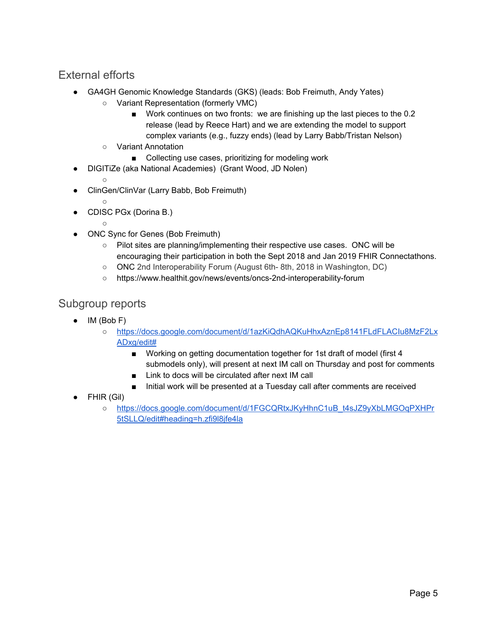### <span id="page-4-0"></span>External efforts

- GA4GH Genomic Knowledge Standards (GKS) (leads: Bob Freimuth, Andy Yates)
	- Variant Representation (formerly VMC)
		- Work continues on two fronts: we are finishing up the last pieces to the 0.2 release (lead by Reece Hart) and we are extending the model to support complex variants (e.g., fuzzy ends) (lead by Larry Babb/Tristan Nelson)
	- Variant Annotation
		- Collecting use cases, prioritizing for modeling work
- DIGITiZe (aka National Academies) (Grant Wood, JD Nolen)
	- ○
- ClinGen/ClinVar (Larry Babb, Bob Freimuth)
- CDISC PGx (Dorina B.)
- $\circ$
- ONC Sync for Genes (Bob Freimuth)
	- Pilot sites are planning/implementing their respective use cases. ONC will be encouraging their participation in both the Sept 2018 and Jan 2019 FHIR Connectathons.
	- ONC 2nd Interoperability Forum (August 6th- 8th, 2018 in Washington, DC)
	- https://www.healthit.gov/news/events/oncs-2nd-interoperability-forum

### <span id="page-4-1"></span>Subgroup reports

- IM (Bob F)
	- [https://docs.google.com/document/d/1azKiQdhAQKuHhxAznEp8141FLdFLACIu8MzF2Lx](https://docs.google.com/document/d/1azKiQdhAQKuHhxAznEp8141FLdFLACIu8MzF2LxADxg/edit#) [ADxg/edit#](https://docs.google.com/document/d/1azKiQdhAQKuHhxAznEp8141FLdFLACIu8MzF2LxADxg/edit#)
		- Working on getting documentation together for 1st draft of model (first 4 submodels only), will present at next IM call on Thursday and post for comments
		- Link to docs will be circulated after next IM call
		- Initial work will be presented at a Tuesday call after comments are received
- FHIR (Gil)
	- [https://docs.google.com/document/d/1FGCQRtxJKyHhnC1uB\\_t4sJZ9yXbLMGOqPXHPr](https://docs.google.com/document/d/1FGCQRtxJKyHhnC1uB_t4sJZ9yXbLMGOqPXHPr5tSLLQ/edit#heading=h.zfi9l8jfe4la) [5tSLLQ/edit#heading=h.zfi9l8jfe4la](https://docs.google.com/document/d/1FGCQRtxJKyHhnC1uB_t4sJZ9yXbLMGOqPXHPr5tSLLQ/edit#heading=h.zfi9l8jfe4la)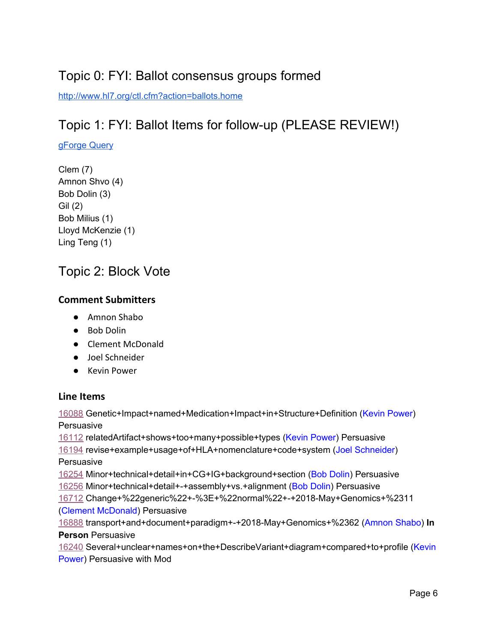# <span id="page-5-0"></span>Topic 0: FYI: Ballot consensus groups formed

<span id="page-5-1"></span><http://www.hl7.org/ctl.cfm?action=ballots.home>

# Topic 1: FYI: Ballot Items for follow-up (PLEASE REVIEW!)

#### [gForge](https://gforge.hl7.org/gf/project/fhir/tracker/?action=TrackerItemBrowse&tracker_id=677&querynav=%2Fgf%2Fproject%2Ffhir%2Ftracker%2F%3Faction%3DTrackerItemBrowse%26tracker_id%3D677%26forget_query%3D1&quickquery=1&tracker_item_id=&summary=&submitted_by=&priority=&assigned_to=&extra_field%5B4214%5D=&extra_field%5B4215%5D=&extra_field%5B4060%5D=&extra_field%5B3631%5D=&extra_field%5B3807%5D=&extra_field%5B3808%5D=&extra_field%5B3628%5D=13106&extra_field%5B3626%5D=&extra_field%5B4065%5D=&extra_field%5B4092%5D=&extra_field%5B4063%5D=&extra_field%5B4062%5D=&extra_field%5B2415%5D=14137&extra_field%5B4252%5D=&extra_field%5B3633%5D=&extra_field%5B3969%5D=&extra_field%5B4069%5D=&extra_field%5B4066%5D=&extra_field%5B4071%5D=&extra_field%5B3632%5D=&sortcol=last_modified_date&sortord=DESC) Query

Clem (7) Amnon Shvo (4) Bob Dolin (3) Gil (2) Bob Milius (1) Lloyd McKenzie (1) Ling Teng (1)

## <span id="page-5-2"></span>Topic 2: Block Vote

### <span id="page-5-3"></span>**Comment Submitters**

- Amnon Shabo
- Bob Dolin
- Clement McDonald
- Joel Schneider
- Kevin Power

### <span id="page-5-4"></span>**Line Items**

[16088](http://gforge.hl7.org/gf/project/fhir/tracker/?action=TrackerItemEdit&tracker_item_id=16088) Genetic+Impact+named+Medication+Impact+in+Structure+Definition (Kevin Power) **Persuasive** 

[16112](http://gforge.hl7.org/gf/project/fhir/tracker/?action=TrackerItemEdit&tracker_item_id=16112) relatedArtifact+shows+too+many+possible+types (Kevin Power) Persuasive [16194](http://gforge.hl7.org/gf/project/fhir/tracker/?action=TrackerItemEdit&tracker_item_id=16194) revise+example+usage+of+HLA+nomenclature+code+system (Joel Schneider) **Persuasive** 

 Minor+technical+detail+in+CG+IG+background+section (Bob Dolin) Persuasive Minor+technical+detail+-+assembly+vs.+alignment (Bob Dolin) Persuasive Change+%22generic%22+-%3E+%22normal%22+-+2018-May+Genomics+%2311 (Clement McDonald) Persuasive

[16888](http://gforge.hl7.org/gf/project/fhir/tracker/?action=TrackerItemEdit&tracker_item_id=16888) transport+and+document+paradigm+-+2018-May+Genomics+%2362 (Amnon Shabo) **In Person** Persuasive

[16240](http://gforge.hl7.org/gf/project/fhir/tracker/?action=TrackerItemEdit&tracker_item_id=16240) Several+unclear+names+on+the+DescribeVariant+diagram+compared+to+profile (Kevin Power) Persuasive with Mod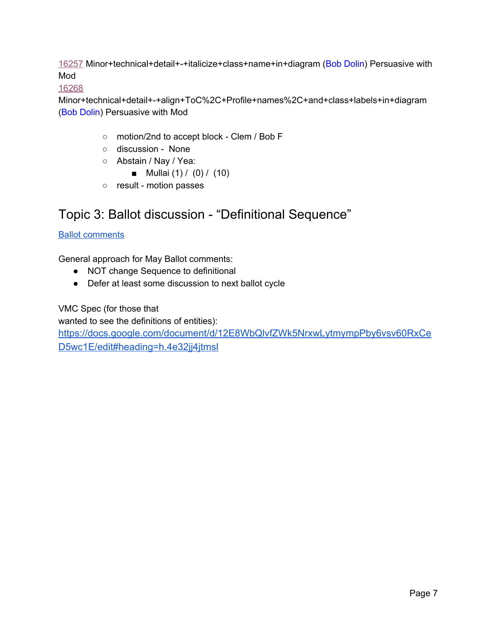[16257](http://gforge.hl7.org/gf/project/fhir/tracker/?action=TrackerItemEdit&tracker_item_id=16257) Minor+technical+detail+-+italicize+class+name+in+diagram (Bob Dolin) Persuasive with Mod

[16268](http://gforge.hl7.org/gf/project/fhir/tracker/?action=TrackerItemEdit&tracker_item_id=16268)

Minor+technical+detail+-+align+ToC%2C+Profile+names%2C+and+class+labels+in+diagram (Bob Dolin) Persuasive with Mod

- motion/2nd to accept block Clem / Bob F
- discussion None
- Abstain / Nay / Yea:
	- Mullai (1) / (0) / (10)
- result motion passes

## <span id="page-6-0"></span>Topic 3: Ballot discussion - "Definitional Sequence"

Ballot [comments](https://gforge.hl7.org/gf/project/fhir/tracker/?action=TrackerItemBrowse&tracker_id=677&querynav=%2Fgf%2Fproject%2Ffhir%2Ftracker%2F%3Faction%3DTrackerItemBrowse%26tracker_id%3D677%26forget_query%3D1&quickquery=1&tracker_item_id=&summary=&submitted_by=&priority=&assigned_to=&extra_field%5B4214%5D=&extra_field%5B4215%5D=&extra_field%5B4060%5D=&extra_field%5B3631%5D=&extra_field%5B3807%5D=&extra_field%5B3808%5D=&extra_field%5B3628%5D=13106&extra_field%5B3626%5D=&extra_field%5B4065%5D=&extra_field%5B4092%5D=&extra_field%5B4063%5D=15767&extra_field%5B4062%5D=&extra_field%5B2415%5D=&extra_field%5B4252%5D=&extra_field%5B3633%5D=&extra_field%5B3969%5D=&extra_field%5B4069%5D=&extra_field%5B4066%5D=&extra_field%5B4071%5D=&extra_field%5B3632%5D=&sortcol=last_modified_date&sortord=DESC)

General approach for May Ballot comments:

- NOT change Sequence to definitional
- Defer at least some discussion to next ballot cycle

VMC Spec (for those that

wanted to see the definitions of entities):

[https://docs.google.com/document/d/12E8WbQlvfZWk5NrxwLytmympPby6vsv60RxCe](https://docs.google.com/document/d/12E8WbQlvfZWk5NrxwLytmympPby6vsv60RxCeD5wc1E/edit#heading=h.4e32jj4jtmsl) [D5wc1E/edit#heading=h.4e32jj4jtmsl](https://docs.google.com/document/d/12E8WbQlvfZWk5NrxwLytmympPby6vsv60RxCeD5wc1E/edit#heading=h.4e32jj4jtmsl)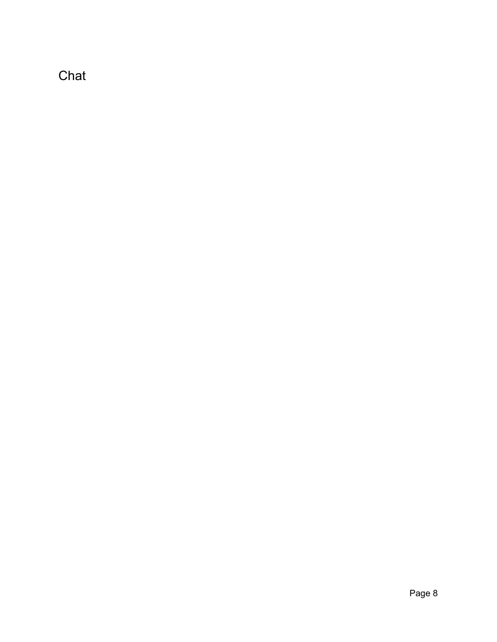<span id="page-7-0"></span>Chat